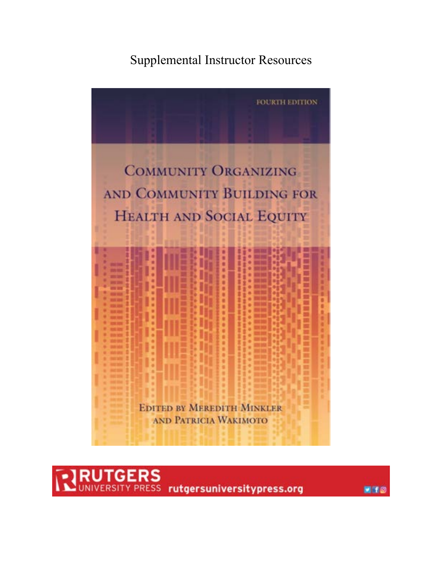# Supplemental Instructor Resources



 $\mathsf{JTCERS} \over {\tt FRS}$ rutgersuniversitypress.org

 $H$  for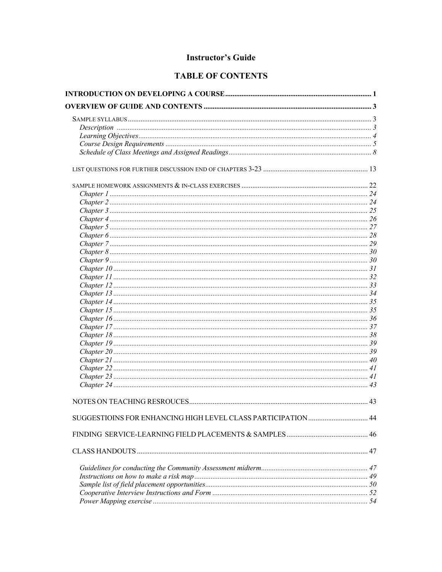# **Instructor's Guide**

# **TABLE OF CONTENTS**

| SUGGESTIOINS FOR ENHANCING HIGH LEVEL CLASS PARTICIPATION  44 |  |
|---------------------------------------------------------------|--|
|                                                               |  |
|                                                               |  |
|                                                               |  |
|                                                               |  |
|                                                               |  |
|                                                               |  |
|                                                               |  |
|                                                               |  |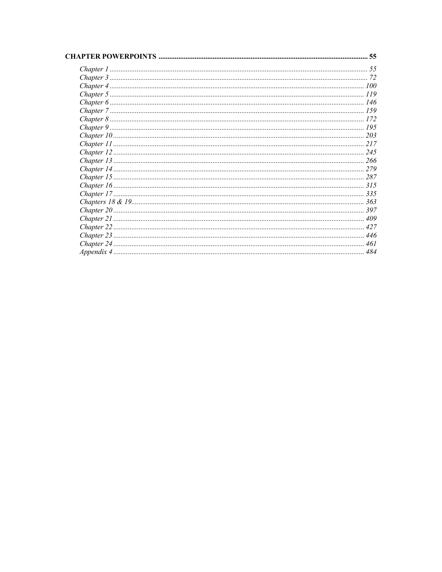| OWERPOINTS | 55  |
|------------|-----|
|            |     |
|            |     |
|            |     |
|            | 119 |
|            | 146 |
|            |     |
|            |     |
|            |     |
|            | 203 |
|            | 217 |
|            | 245 |
|            | 266 |
|            | 279 |
|            |     |
|            |     |
|            |     |
|            |     |
|            |     |
|            |     |
|            |     |
|            |     |
|            | 461 |
|            | 484 |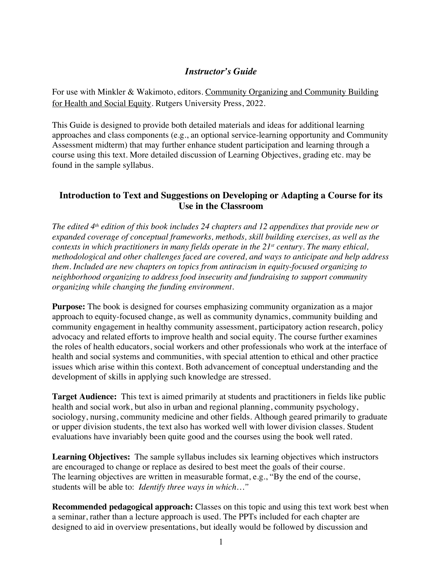# *Instructor's Guide*

For use with Minkler & Wakimoto, editors. Community Organizing and Community Building for Health and Social Equity. Rutgers University Press, 2022.

This Guide is designed to provide both detailed materials and ideas for additional learning approaches and class components (e.g., an optional service-learning opportunity and Community Assessment midterm) that may further enhance student participation and learning through a course using this text. More detailed discussion of Learning Objectives, grading etc. may be found in the sample syllabus.

# **Introduction to Text and Suggestions on Developing or Adapting a Course for its Use in the Classroom**

*The edited 4th edition of this book includes 24 chapters and 12 appendixes that provide new or expanded coverage of conceptual frameworks, methods, skill building exercises, as well as the contexts in which practitioners in many fields operate in the 21st century. The many ethical, methodological and other challenges faced are covered, and ways to anticipate and help address them. Included are new chapters on topics from antiracism in equity-focused organizing to neighborhood organizing to address food insecurity and fundraising to support community organizing while changing the funding environment.* 

**Purpose:** The book is designed for courses emphasizing community organization as a major approach to equity-focused change, as well as community dynamics, community building and community engagement in healthy community assessment, participatory action research, policy advocacy and related efforts to improve health and social equity. The course further examines the roles of health educators, social workers and other professionals who work at the interface of health and social systems and communities, with special attention to ethical and other practice issues which arise within this context. Both advancement of conceptual understanding and the development of skills in applying such knowledge are stressed.

**Target Audience:** This text is aimed primarily at students and practitioners in fields like public health and social work, but also in urban and regional planning, community psychology, sociology, nursing, community medicine and other fields. Although geared primarily to graduate or upper division students, the text also has worked well with lower division classes. Student evaluations have invariably been quite good and the courses using the book well rated.

**Learning Objectives:** The sample syllabus includes six learning objectives which instructors are encouraged to change or replace as desired to best meet the goals of their course. The learning objectives are written in measurable format, e.g., "By the end of the course, students will be able to: *Identify three ways in which…"* 

**Recommended pedagogical approach:** Classes on this topic and using this text work best when a seminar, rather than a lecture approach is used. The PPTs included for each chapter are designed to aid in overview presentations, but ideally would be followed by discussion and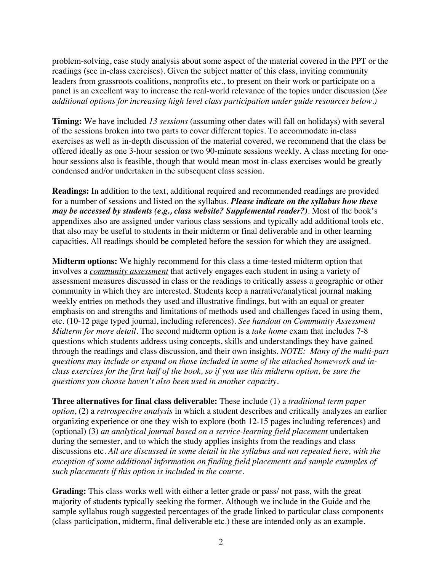problem-solving, case study analysis about some aspect of the material covered in the PPT or the readings (see in-class exercises). Given the subject matter of this class, inviting community leaders from grassroots coalitions, nonprofits etc., to present on their work or participate on a panel is an excellent way to increase the real-world relevance of the topics under discussion (*See additional options for increasing high level class participation under guide resources below.)*

**Timing:** We have included *13 sessions* (assuming other dates will fall on holidays) with several of the sessions broken into two parts to cover different topics. To accommodate in-class exercises as well as in-depth discussion of the material covered, we recommend that the class be offered ideally as one 3-hour session or two 90-minute sessions weekly. A class meeting for onehour sessions also is feasible, though that would mean most in-class exercises would be greatly condensed and/or undertaken in the subsequent class session.

**Readings:** In addition to the text, additional required and recommended readings are provided for a number of sessions and listed on the syllabus. *Please indicate on the syllabus how these may be accessed by students (e.g., class website? Supplemental reader?).* Most of the book's appendixes also are assigned under various class sessions and typically add additional tools etc. that also may be useful to students in their midterm or final deliverable and in other learning capacities. All readings should be completed before the session for which they are assigned.

**Midterm options:** We highly recommend for this class a time-tested midterm option that involves a *community assessment* that actively engages each student in using a variety of assessment measures discussed in class or the readings to critically assess a geographic or other community in which they are interested. Students keep a narrative/analytical journal making weekly entries on methods they used and illustrative findings, but with an equal or greater emphasis on and strengths and limitations of methods used and challenges faced in using them, etc. (10-12 page typed journal, including references). *See handout on Community Assessment Midterm for more detail.* The second midterm option is a *take home* exam that includes 7-8 questions which students address using concepts, skills and understandings they have gained through the readings and class discussion, and their own insights. *NOTE: Many of the multi-part questions may include or expand on those included in some of the attached homework and inclass exercises for the first half of the book, so if you use this midterm option, be sure the questions you choose haven't also been used in another capacity.* 

**Three alternatives for final class deliverable:** These include (1) a *traditional term paper option*, (2) a *retrospective analysis* in which a student describes and critically analyzes an earlier organizing experience or one they wish to explore (both 12-15 pages including references) and (optional) (3) *an analytical journal based on a service-learning field placement* undertaken during the semester, and to which the study applies insights from the readings and class discussions etc. *All are discussed in some detail in the syllabus and not repeated here, with the exception of some additional information on finding field placements and sample examples of such placements if this option is included in the course.* 

**Grading:** This class works well with either a letter grade or pass/ not pass, with the great majority of students typically seeking the former. Although we include in the Guide and the sample syllabus rough suggested percentages of the grade linked to particular class components (class participation, midterm, final deliverable etc.) these are intended only as an example.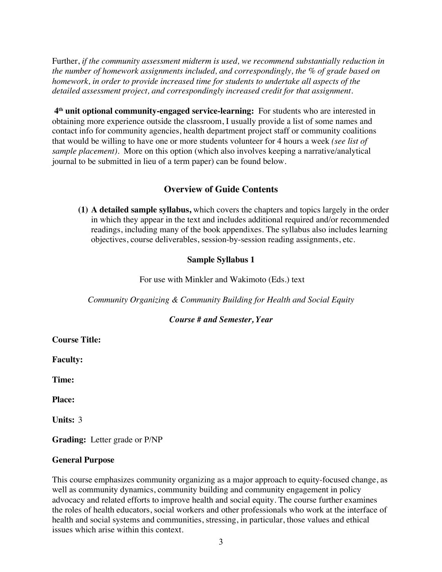Further, *if the community assessment midterm is used, we recommend substantially reduction in the number of homework assignments included, and correspondingly, the % of grade based on homework, in order to provide increased time for students to undertake all aspects of the detailed assessment project, and correspondingly increased credit for that assignment.* 

 **4th unit optional community-engaged service-learning:** For students who are interested in obtaining more experience outside the classroom, I usually provide a list of some names and contact info for community agencies, health department project staff or community coalitions that would be willing to have one or more students volunteer for 4 hours a week *(see list of sample placement).* More on this option (which also involves keeping a narrative/analytical journal to be submitted in lieu of a term paper) can be found below.

# **Overview of Guide Contents**

**(1) A detailed sample syllabus,** which covers the chapters and topics largely in the order in which they appear in the text and includes additional required and/or recommended readings, including many of the book appendixes. The syllabus also includes learning objectives, course deliverables, session-by-session reading assignments, etc.

# **Sample Syllabus 1**

For use with Minkler and Wakimoto (Eds.) text

*Community Organizing & Community Building for Health and Social Equity*

# *Course # and Semester, Year*

**Course Title:** 

**Faculty:**

**Time:** 

**Place:**

**Units:** 3

**Grading:** Letter grade or P/NP

#### **General Purpose**

This course emphasizes community organizing as a major approach to equity-focused change, as well as community dynamics, community building and community engagement in policy advocacy and related efforts to improve health and social equity. The course further examines the roles of health educators, social workers and other professionals who work at the interface of health and social systems and communities, stressing, in particular, those values and ethical issues which arise within this context.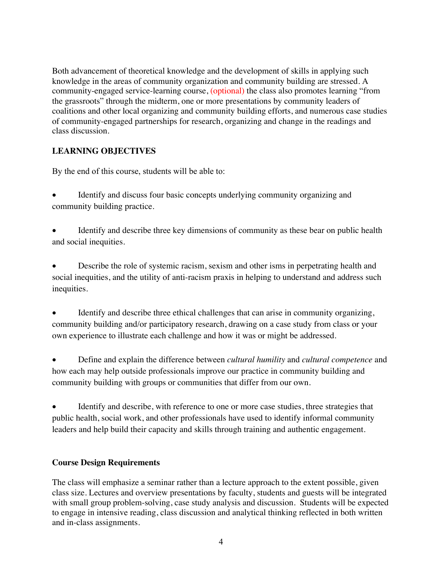Both advancement of theoretical knowledge and the development of skills in applying such knowledge in the areas of community organization and community building are stressed. A community-engaged service-learning course, (optional) the class also promotes learning "from the grassroots" through the midterm, one or more presentations by community leaders of coalitions and other local organizing and community building efforts, and numerous case studies of community-engaged partnerships for research, organizing and change in the readings and class discussion.

# **LEARNING OBJECTIVES**

By the end of this course, students will be able to:

- Identify and discuss four basic concepts underlying community organizing and community building practice.
- Identify and describe three key dimensions of community as these bear on public health and social inequities.
- Describe the role of systemic racism, sexism and other isms in perpetrating health and social inequities, and the utility of anti-racism praxis in helping to understand and address such inequities.
- Identify and describe three ethical challenges that can arise in community organizing, community building and/or participatory research, drawing on a case study from class or your own experience to illustrate each challenge and how it was or might be addressed.
- Define and explain the difference between *cultural humility* and *cultural competence* and how each may help outside professionals improve our practice in community building and community building with groups or communities that differ from our own.
- Identify and describe, with reference to one or more case studies, three strategies that public health, social work, and other professionals have used to identify informal community leaders and help build their capacity and skills through training and authentic engagement.

# **Course Design Requirements**

The class will emphasize a seminar rather than a lecture approach to the extent possible, given class size. Lectures and overview presentations by faculty, students and guests will be integrated with small group problem-solving, case study analysis and discussion. Students will be expected to engage in intensive reading, class discussion and analytical thinking reflected in both written and in-class assignments.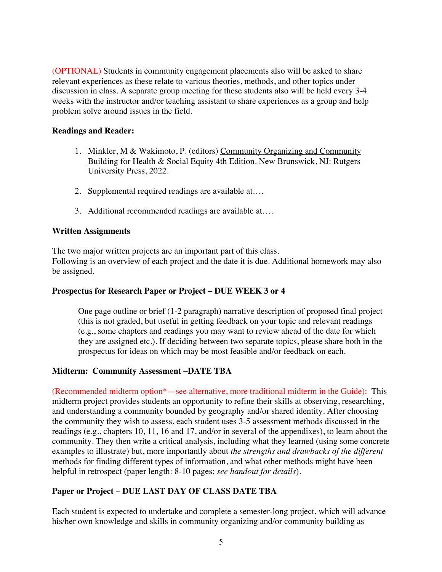(OPTIONAL) Students in community engagement placements also will be asked to share relevant experiences as these relate to various theories, methods, and other topics under discussion in class. A separate group meeting for these students also will be held every 3-4 weeks with the instructor and/or teaching assistant to share experiences as a group and help problem solve around issues in the field.

#### **Readings and Reader:**

- 1. Minkler, M & Wakimoto, P. (editors) Community Organizing and Community Building for Health & Social Equity 4th Edition. New Brunswick, NJ: Rutgers University Press, 2022.
- 2. Supplemental required readings are available at….
- 3. Additional recommended readings are available at….

#### **Written Assignments**

The two major written projects are an important part of this class. Following is an overview of each project and the date it is due. Additional homework may also be assigned.

# **Prospectus for Research Paper or Project – DUE WEEK 3 or 4**

One page outline or brief (1-2 paragraph) narrative description of proposed final project (this is not graded, but useful in getting feedback on your topic and relevant readings (e.g., some chapters and readings you may want to review ahead of the date for which they are assigned etc.). If deciding between two separate topics, please share both in the prospectus for ideas on which may be most feasible and/or feedback on each.

# **Midterm: Community Assessment –DATE TBA**

(Recommended midterm option\*—see alternative, more traditional midterm in the Guide): This midterm project provides students an opportunity to refine their skills at observing, researching, and understanding a community bounded by geography and/or shared identity. After choosing the community they wish to assess, each student uses 3-5 assessment methods discussed in the readings (e.g., chapters 10, 11, 16 and 17, and/or in several of the appendixes), to learn about the community. They then write a critical analysis, including what they learned (using some concrete examples to illustrate) but, more importantly about *the strengths and drawbacks of the different*  methods for finding different types of information, and what other methods might have been helpful in retrospect (paper length: 8-10 pages; *see handout for details*).

# **Paper or Project – DUE LAST DAY OF CLASS DATE TBA**

Each student is expected to undertake and complete a semester-long project, which will advance his/her own knowledge and skills in community organizing and/or community building as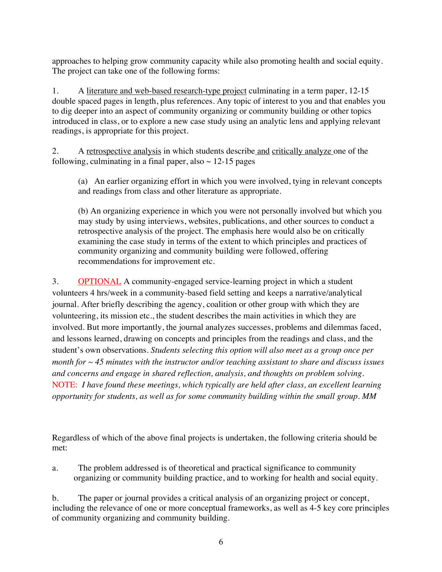approaches to helping grow community capacity while also promoting health and social equity. The project can take one of the following forms:

1. A literature and web-based research-type project culminating in a term paper, 12-15 double spaced pages in length, plus references. Any topic of interest to you and that enables you to dig deeper into an aspect of community organizing or community building or other topics introduced in class, or to explore a new case study using an analytic lens and applying relevant readings, is appropriate for this project.

2. A retrospective analysis in which students describe and critically analyze one of the following, culminating in a final paper, also  $\sim$  12-15 pages

(a) An earlier organizing effort in which you were involved, tying in relevant concepts and readings from class and other literature as appropriate.

(b) An organizing experience in which you were not personally involved but which you may study by using interviews, websites, publications, and other sources to conduct a retrospective analysis of the project. The emphasis here would also be on critically examining the case study in terms of the extent to which principles and practices of community organizing and community building were followed, offering recommendations for improvement etc.

3. OPTIONAL A community-engaged service-learning project in which a student volunteers 4 hrs/week in a community-based field setting and keeps a narrative/analytical journal. After briefly describing the agency, coalition or other group with which they are volunteering, its mission etc., the student describes the main activities in which they are involved. But more importantly, the journal analyzes successes, problems and dilemmas faced, and lessons learned, drawing on concepts and principles from the readings and class, and the student's own observations. *Students selecting this option will also meet as a group once per month for ~ 45 minutes with the instructor and/or teaching assistant to share and discuss issues and concerns and engage in shared reflection, analysis, and thoughts on problem solving.* NOTE: *I have found these meetings, which typically are held after class, an excellent learning opportunity for students, as well as for some community building within the small group. MM* 

Regardless of which of the above final projects is undertaken, the following criteria should be met:

a. The problem addressed is of theoretical and practical significance to community organizing or community building practice, and to working for health and social equity.

b. The paper or journal provides a critical analysis of an organizing project or concept, including the relevance of one or more conceptual frameworks, as well as 4-5 key core principles of community organizing and community building.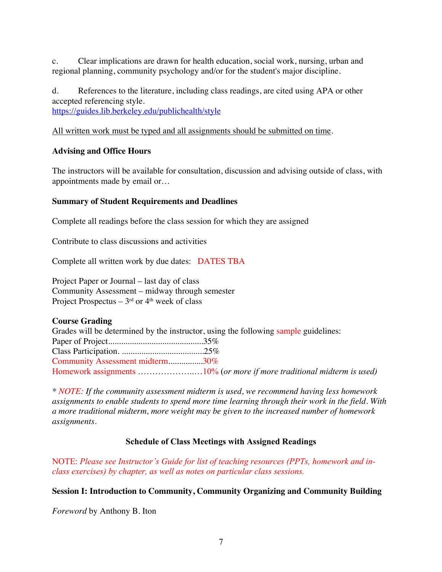c. Clear implications are drawn for health education, social work, nursing, urban and regional planning, community psychology and/or for the student's major discipline.

d. References to the literature, including class readings, are cited using APA or other accepted referencing style. https://guides.lib.berkeley.edu/publichealth/style

All written work must be typed and all assignments should be submitted on time.

# **Advising and Office Hours**

The instructors will be available for consultation, discussion and advising outside of class, with appointments made by email or…

#### **Summary of Student Requirements and Deadlines**

Complete all readings before the class session for which they are assigned

Contribute to class discussions and activities

Complete all written work by due dates: DATES TBA

Project Paper or Journal – last day of class Community Assessment – midway through semester Project Prospectus –  $3<sup>rd</sup>$  or  $4<sup>th</sup>$  week of class

#### **Course Grading**

Grades will be determined by the instructor, using the following sample guidelines: Paper of Project............................................35% Class Participation. ......................................25% Community Assessment midterm................30% Homework assignments ………………..…10% (*or more if more traditional midterm is used)* 

*\* NOTE: If the community assessment midterm is used, we recommend having less homework assignments to enable students to spend more time learning through their work in the field. With a more traditional midterm, more weight may be given to the increased number of homework assignments.* 

# **Schedule of Class Meetings with Assigned Readings**

NOTE: *Please see Instructor's Guide for list of teaching resources (PPTs, homework and inclass exercises) by chapter, as well as notes on particular class sessions.* 

#### **Session I: Introduction to Community, Community Organizing and Community Building**

*Foreword* by Anthony B. Iton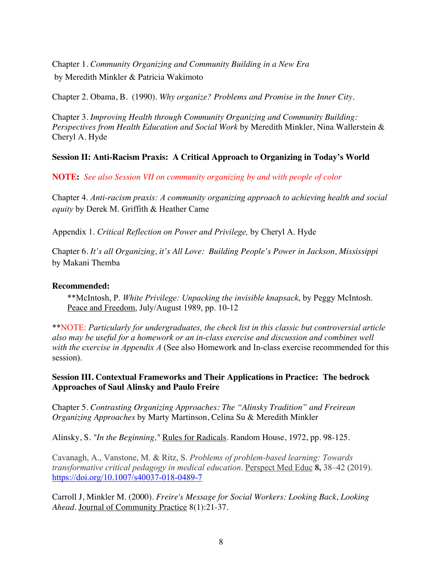Chapter 1. *Community Organizing and Community Building in a New Era* by Meredith Minkler & Patricia Wakimoto

Chapter 2. Obama, B. (1990). *Why organize? Problems and Promise in the Inner City.*

Chapter 3. *Improving Health through Community Organizing and Community Building: Perspectives from Health Education and Social Work* by Meredith Minkler, Nina Wallerstein & Cheryl A. Hyde

# **Session II: Anti-Racism Praxis: A Critical Approach to Organizing in Today's World**

**NOTE:** *See also Session VII on community organizing by and with people of color* 

Chapter 4. *Anti-racism praxis: A community organizing approach to achieving health and social equity* by Derek M. Griffith & Heather Came

Appendix 1. *Critical Reflection on Power and Privilege,* by Cheryl A. Hyde

Chapter 6. *It's all Organizing, it's All Love: Building People's Power in Jackson, Mississippi*  by Makani Themba

#### **Recommended:**

\*\*McIntosh, P. *White Privilege: Unpacking the invisible knapsack*, by Peggy McIntosh. Peace and Freedom, July/August 1989, pp. 10-12

\*\*NOTE: *Particularly for undergraduates, the check list in this classic but controversial article also may be useful for a homework or an in-class exercise and discussion and combines well with the exercise in Appendix A* (See also Homework and In-class exercise recommended for this session).

**Session III. Contextual Frameworks and Their Applications in Practice: The bedrock Approaches of Saul Alinsky and Paulo Freire**

Chapter 5. *Contrasting Organizing Approaches: The "Alinsky Tradition" and Freirean Organizing Approaches* by Marty Martinson, Celina Su & Meredith Minkler

Alinsky, S. *"In the Beginning,"* Rules for Radicals. Random House, 1972, pp. 98-125.

Cavanagh, A., Vanstone, M. & Ritz, S. *Problems of problem-based learning: Towards transformative critical pedagogy in medical education*. Perspect Med Educ **8,** 38–42 (2019). https://doi.org/10.1007/s40037-018-0489-7

Carroll J, Minkler M. (2000). *Freire's Message for Social Workers: Looking Back, Looking Ahead.* Journal of Community Practice 8(1):21-37.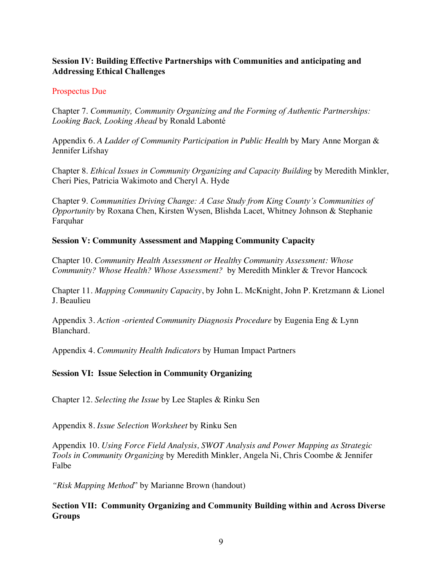# **Session IV: Building Effective Partnerships with Communities and anticipating and Addressing Ethical Challenges**

#### Prospectus Due

Chapter 7. *Community, Community Organizing and the Forming of Authentic Partnerships: Looking Back, Looking Ahead* by Ronald Labonté

Appendix 6. *A Ladder of Community Participation in Public Health* by Mary Anne Morgan & Jennifer Lifshay

Chapter 8. *Ethical Issues in Community Organizing and Capacity Building* by Meredith Minkler, Cheri Pies, Patricia Wakimoto and Cheryl A. Hyde

Chapter 9. *Communities Driving Change: A Case Study from King County's Communities of Opportunity* by Roxana Chen, Kirsten Wysen, Blishda Lacet, Whitney Johnson & Stephanie Farquhar

#### **Session V: Community Assessment and Mapping Community Capacity**

Chapter 10. *Community Health Assessment or Healthy Community Assessment: Whose Community? Whose Health? Whose Assessment?* by Meredith Minkler & Trevor Hancock

Chapter 11. *Mapping Community Capacity*, by John L. McKnight, John P. Kretzmann & Lionel J. Beaulieu

Appendix 3. *Action -oriented Community Diagnosis Procedure* by Eugenia Eng & Lynn Blanchard.

Appendix 4. *Community Health Indicators* by Human Impact Partners

# **Session VI: Issue Selection in Community Organizing**

Chapter 12. *Selecting the Issue* by Lee Staples & Rinku Sen

Appendix 8. *Issue Selection Worksheet* by Rinku Sen

Appendix 10. *Using Force Field Analysis, SWOT Analysis and Power Mapping as Strategic Tools in Community Organizing* by Meredith Minkler, Angela Ni, Chris Coombe & Jennifer Falbe

*"Risk Mapping Method*" by Marianne Brown (handout)

#### **Section VII: Community Organizing and Community Building within and Across Diverse Groups**